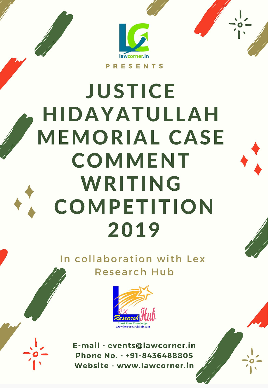

# **JUSTICE HIDAYATULLAH MEMORIAL CASE** COMMENT WRITING **COMPETITION** 2019

In collaboration with Lex **Research Hub** 



E-mail - events@lawcorner.in Phone No. - +91-8436488805 Website - www.lawcorner.in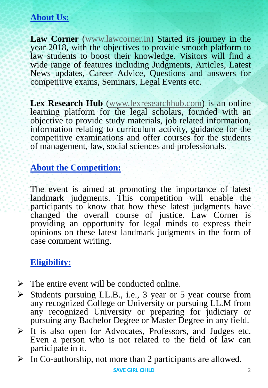# **About Us:**

**Law Corner** ([www.lawcorner.in\)](http://www.lawcorner.in/) Started its journey in the year 2018, with the objectives to provide smooth platform to law students to boost their knowledge. Visitors will find a wide range of features including Judgments, Articles, Latest News updates, Career Advice, Questions and answers for competitive exams, Seminars, Legal Events etc.

**Lex Research Hub** ([www.lexresearchhub.com\)](http://www.lexresearchhub.com/) is an online learning platform for the legal scholars, founded with an objective to provide study materials, job related information, information relating to curriculum activity, guidance for the competitive examinations and offer courses for the students of management, law, social sciences and professionals.

## **About the Competition:**

The event is aimed at promoting the importance of latest landmark judgments. This competition will enable the participants to know that how these latest judgments have changed the overall course of justice. Law Corner is providing an opportunity for legal minds to express their opinions on these latest landmark judgments in the form of case comment writing.

# **Eligibility:**

- $\triangleright$  The entire event will be conducted online.
- $\triangleright$  Students pursuing LL.B., i.e., 3 year or 5 year course from any recognized College or University or pursuing LL.M from any recognized University or preparing for judiciary or pursuing any Bachelor Degree or Master Degree in any field.
- $\triangleright$  It is also open for Advocates, Professors, and Judges etc. Even a person who is not related to the field of law can participate in it.
- $\triangleright$  In Co-authorship, not more than 2 participants are allowed.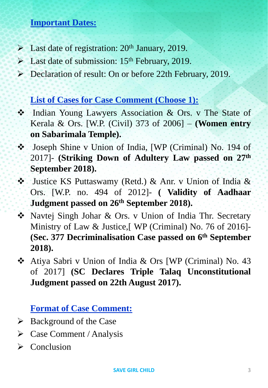## **Important Dates:**

- $\blacktriangleright$  Last date of registration: 20<sup>th</sup> January, 2019.
- $\triangleright$  Last date of submission: 15<sup>th</sup> February, 2019.
- Declaration of result: On or before 22th February, 2019.

## **List of Cases for Case Comment (Choose 1):**

- Indian Young Lawyers Association & Ors. v The State of Kerala & Ors. [W.P. (Civil) 373 of 2006] – **(Women entry on Sabarimala Temple).**
- Joseph Shine v Union of India, [WP (Criminal) No. 194 of 2017]- **(Striking Down of Adultery Law passed on 27th September 2018).**
- Justice KS Puttaswamy (Retd.) & Anr. v Union of India & Ors. [W.P. no. 494 of 2012]- **( Validity of Aadhaar Judgment passed on 26th September 2018).**
- Navtej Singh Johar & Ors. v Union of India Thr. Secretary Ministry of Law & Justice,[ WP (Criminal) No. 76 of 2016]- **(Sec. 377 Decriminalisation Case passed on 6 th September 2018).**
- Atiya Sabri v Union of India & Ors [WP (Criminal) No. 43 of 2017] **(SC Declares Triple Talaq Unconstitutional Judgment passed on 22th August 2017).**

**Format of Case Comment:**

- $\triangleright$  Background of the Case
- $\triangleright$  Case Comment / Analysis
- $\triangleright$  Conclusion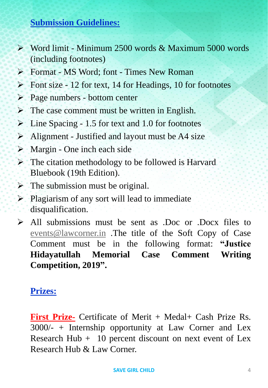## **Submission Guidelines:**

- Word limit Minimum 2500 words & Maximum 5000 words (including footnotes)
- Format MS Word; font Times New Roman
- $\triangleright$  Font size 12 for text, 14 for Headings, 10 for footnotes
- $\triangleright$  Page numbers bottom center
- $\triangleright$  The case comment must be written in English.
- $\triangleright$  Line Spacing 1.5 for text and 1.0 for footnotes
- $\triangleright$  Alignment Justified and layout must be A4 size
- $\triangleright$  Margin One inch each side
- $\triangleright$  The citation methodology to be followed is Harvard Bluebook (19th Edition).
- $\triangleright$  The submission must be original.
- $\triangleright$  Plagiarism of any sort will lead to immediate disqualification.
- $\triangleright$  All submissions must be sent as .Doc or .Docx files to [events@lawcorner.in](mailto:events@lawcorner.in) .The title of the Soft Copy of Case Comment must be in the following format: **"Justice Hidayatullah Memorial Case Comment Writing Competition, 2019".**

# **Prizes:**

**First Prize-** Certificate of Merit + Medal+ Cash Prize Rs. 3000/- + Internship opportunity at Law Corner and Lex Research Hub  $+$  10 percent discount on next event of Lex Research Hub & Law Corner.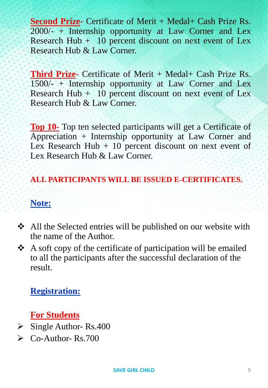**Second Prize-** Certificate of Merit + Medal+ Cash Prize Rs. 2000/- + Internship opportunity at Law Corner and Lex Research Hub  $+$  10 percent discount on next event of Lex Research Hub & Law Corner.

**Third Prize-** Certificate of Merit + Medal+ Cash Prize Rs. 1500/- + Internship opportunity at Law Corner and Lex Research Hub  $+$  10 percent discount on next event of Lex Research Hub & Law Corner.

**Top 10-** Top ten selected participants will get a Certificate of Appreciation + Internship opportunity at Law Corner and Lex Research Hub  $+10$  percent discount on next event of Lex Research Hub & Law Corner.

### **ALL PARTICIPANTS WILL BE ISSUED E-CERTIFICATES.**

#### **Note:**

- All the Selected entries will be published on our website with the name of the Author.
- A soft copy of the certificate of participation will be emailed to all the participants after the successful declaration of the result.

# **Registration:**

# **For Students**

- $\triangleright$  Single Author- Rs.400
- $\triangleright$  Co-Author- Rs. 700